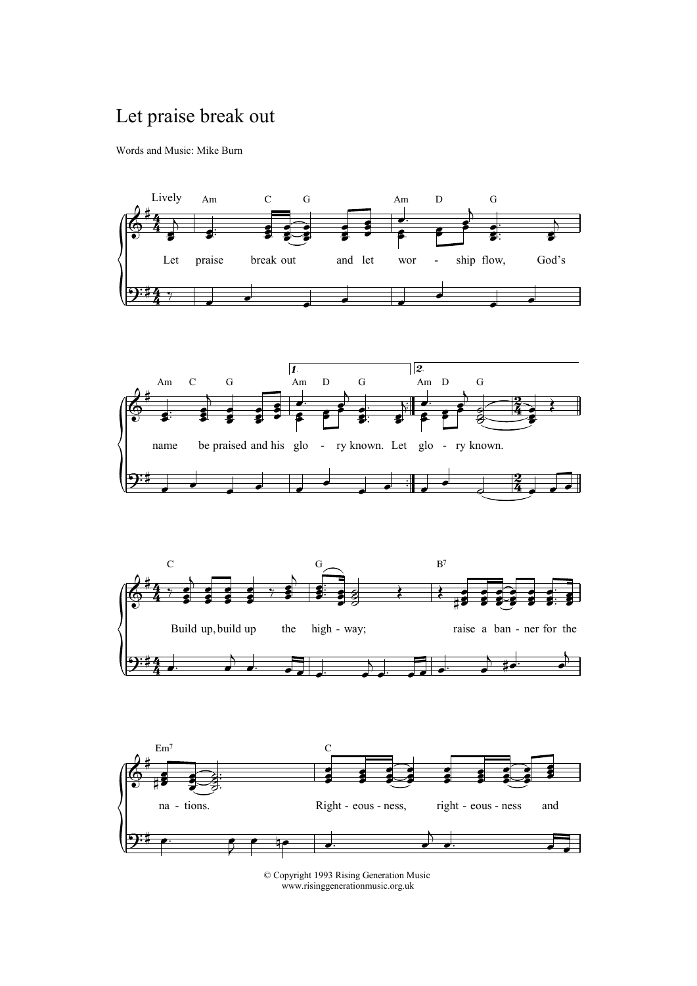## Let praise break out

Words and Music: Mike Burn





© Copyright 1993 Rising Generation Music www.risinggenerationmusic.org.uk